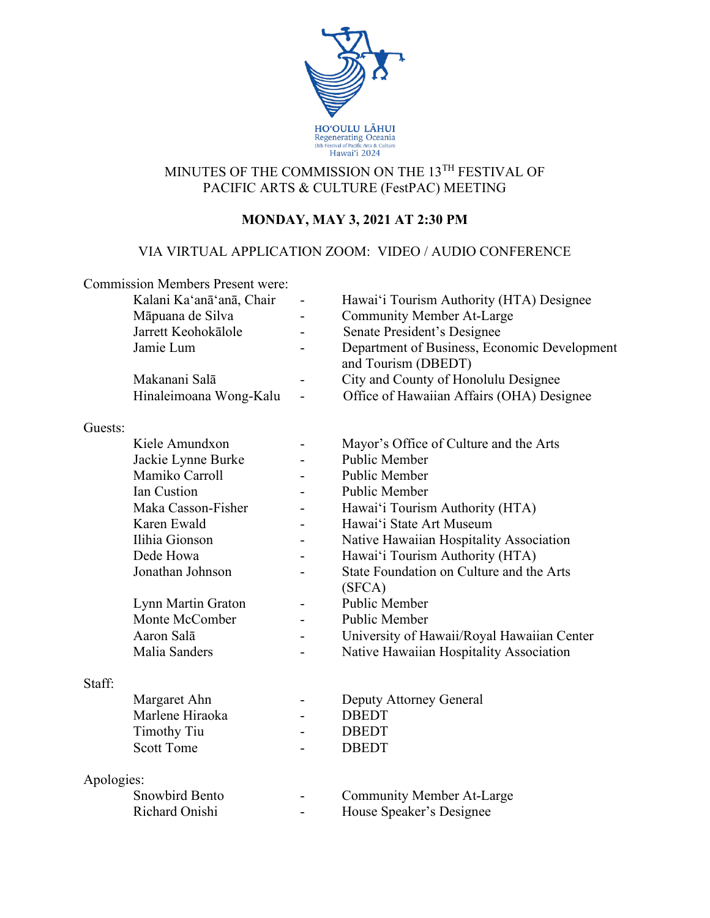

## MINUTES OF THE COMMISSION ON THE 13TH FESTIVAL OF PACIFIC ARTS & CULTURE (FestPAC) MEETING

# **MONDAY, MAY 3, 2021 AT 2:30 PM**

## VIA VIRTUAL APPLICATION ZOOM: VIDEO / AUDIO CONFERENCE

|            | <b>Commission Members Present were:</b> |   |                                                                     |
|------------|-----------------------------------------|---|---------------------------------------------------------------------|
|            | Kalani Ka'anā'anā, Chair                |   | Hawai'i Tourism Authority (HTA) Designee                            |
|            | Māpuana de Silva                        |   | <b>Community Member At-Large</b>                                    |
|            | Jarrett Keohokālole                     |   | Senate President's Designee                                         |
|            | Jamie Lum                               | - | Department of Business, Economic Development<br>and Tourism (DBEDT) |
|            | Makanani Salā                           |   | City and County of Honolulu Designee                                |
|            | Hinaleimoana Wong-Kalu                  |   | Office of Hawaiian Affairs (OHA) Designee                           |
| Guests:    |                                         |   |                                                                     |
|            | Kiele Amundxon                          |   | Mayor's Office of Culture and the Arts                              |
|            | Jackie Lynne Burke                      |   | Public Member                                                       |
|            | Mamiko Carroll                          |   | <b>Public Member</b>                                                |
|            | Ian Custion                             |   | <b>Public Member</b>                                                |
|            | Maka Casson-Fisher                      |   | Hawai'i Tourism Authority (HTA)                                     |
|            | Karen Ewald                             |   | Hawai'i State Art Museum                                            |
|            | Ilihia Gionson                          |   | Native Hawaiian Hospitality Association                             |
|            | Dede Howa                               |   | Hawai'i Tourism Authority (HTA)                                     |
|            | Jonathan Johnson                        |   | State Foundation on Culture and the Arts<br>(SFCA)                  |
|            | Lynn Martin Graton                      |   | Public Member                                                       |
|            | Monte McComber                          |   | Public Member                                                       |
|            | Aaron Salā                              |   | University of Hawaii/Royal Hawaiian Center                          |
|            | Malia Sanders                           |   | Native Hawaiian Hospitality Association                             |
| Staff:     |                                         |   |                                                                     |
|            | Margaret Ahn                            |   | Deputy Attorney General                                             |
|            | Marlene Hiraoka                         |   | <b>DBEDT</b>                                                        |
|            | <b>Timothy Tiu</b>                      |   | <b>DBEDT</b>                                                        |
|            | <b>Scott Tome</b>                       |   | <b>DBEDT</b>                                                        |
| Apologies: |                                         |   |                                                                     |
|            | <b>Snowbird Bento</b>                   |   | <b>Community Member At-Large</b>                                    |
|            | Richard Onishi                          |   | House Speaker's Designee                                            |
|            |                                         |   |                                                                     |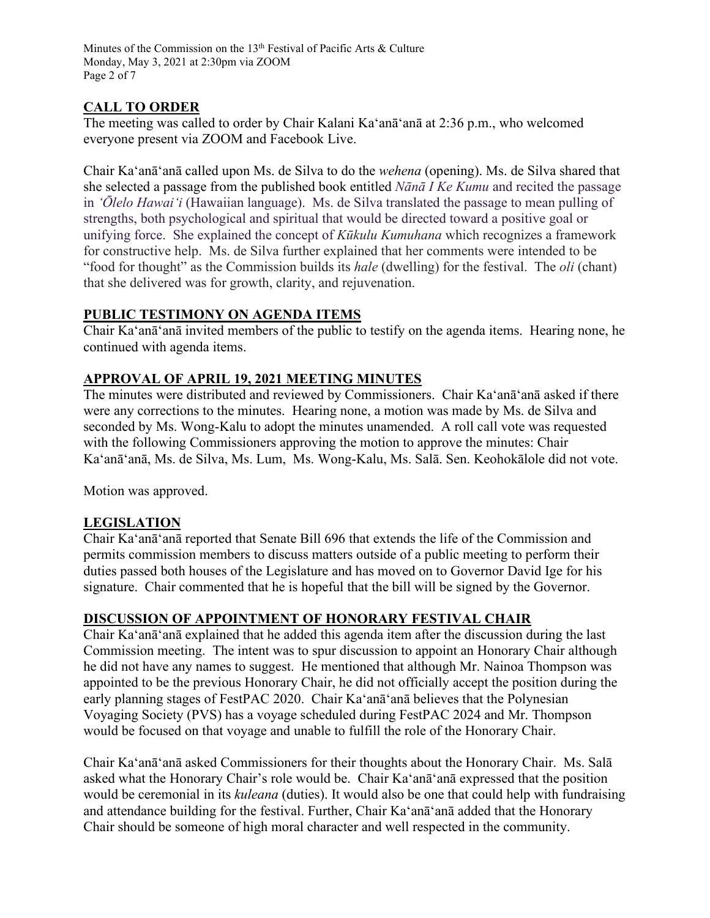Minutes of the Commission on the 13<sup>th</sup> Festival of Pacific Arts & Culture Monday, May 3, 2021 at 2:30pm via ZOOM Page 2 of 7

## **CALL TO ORDER**

The meeting was called to order by Chair Kalani Ka'anā'anā at 2:36 p.m., who welcomed everyone present via ZOOM and Facebook Live.

Chair Ka'anā'anā called upon Ms. de Silva to do the *wehena* (opening). Ms. de Silva shared that she selected a passage from the published book entitled *Nānā I Ke Kumu* and recited the passage in *ʻŌlelo Hawaiʻi* (Hawaiian language). Ms. de Silva translated the passage to mean pulling of strengths, both psychological and spiritual that would be directed toward a positive goal or unifying force. She explained the concept of *Kūkulu Kumuhana* which recognizes a framework for constructive help. Ms. de Silva further explained that her comments were intended to be "food for thought" as the Commission builds its *hale* (dwelling) for the festival. The *oli* (chant) that she delivered was for growth, clarity, and rejuvenation.

## **PUBLIC TESTIMONY ON AGENDA ITEMS**

Chair Ka'anā'anā invited members of the public to testify on the agenda items. Hearing none, he continued with agenda items.

## **APPROVAL OF APRIL 19, 2021 MEETING MINUTES**

The minutes were distributed and reviewed by Commissioners. Chair Ka'anā'anā asked if there were any corrections to the minutes. Hearing none, a motion was made by Ms. de Silva and seconded by Ms. Wong-Kalu to adopt the minutes unamended. A roll call vote was requested with the following Commissioners approving the motion to approve the minutes: Chair Ka'anā'anā, Ms. de Silva, Ms. Lum, Ms. Wong-Kalu, Ms. Salā. Sen. Keohokālole did not vote.

Motion was approved.

## **LEGISLATION**

Chair Ka'anā'anā reported that Senate Bill 696 that extends the life of the Commission and permits commission members to discuss matters outside of a public meeting to perform their duties passed both houses of the Legislature and has moved on to Governor David Ige for his signature. Chair commented that he is hopeful that the bill will be signed by the Governor.

#### **DISCUSSION OF APPOINTMENT OF HONORARY FESTIVAL CHAIR**

Chair Ka'anā'anā explained that he added this agenda item after the discussion during the last Commission meeting. The intent was to spur discussion to appoint an Honorary Chair although he did not have any names to suggest. He mentioned that although Mr. Nainoa Thompson was appointed to be the previous Honorary Chair, he did not officially accept the position during the early planning stages of FestPAC 2020. Chair Ka'anā'anā believes that the Polynesian Voyaging Society (PVS) has a voyage scheduled during FestPAC 2024 and Mr. Thompson would be focused on that voyage and unable to fulfill the role of the Honorary Chair.

Chair Ka'anā'anā asked Commissioners for their thoughts about the Honorary Chair. Ms. Salā asked what the Honorary Chair's role would be. Chair Ka'anā'anā expressed that the position would be ceremonial in its *kuleana* (duties). It would also be one that could help with fundraising and attendance building for the festival. Further, Chair Kaʻanāʻanā added that the Honorary Chair should be someone of high moral character and well respected in the community.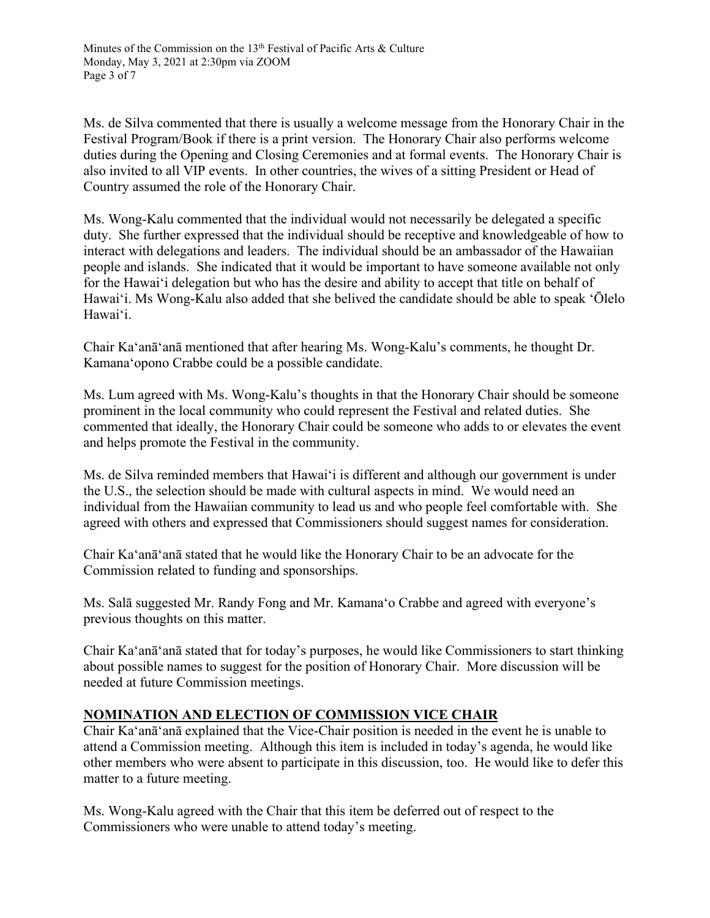Ms. de Silva commented that there is usually a welcome message from the Honorary Chair in the Festival Program/Book if there is a print version. The Honorary Chair also performs welcome duties during the Opening and Closing Ceremonies and at formal events. The Honorary Chair is also invited to all VIP events. In other countries, the wives of a sitting President or Head of Country assumed the role of the Honorary Chair.

Ms. Wong-Kalu commented that the individual would not necessarily be delegated a specific duty. She further expressed that the individual should be receptive and knowledgeable of how to interact with delegations and leaders. The individual should be an ambassador of the Hawaiian people and islands. She indicated that it would be important to have someone available not only for the Hawaiʻi delegation but who has the desire and ability to accept that title on behalf of Hawaiʻi. Ms Wong-Kalu also added that she belived the candidate should be able to speak ʻŌlelo Hawaiʻi.

Chair Ka'anā'anā mentioned that after hearing Ms. Wong-Kalu's comments, he thought Dr. Kamanaʻopono Crabbe could be a possible candidate.

Ms. Lum agreed with Ms. Wong-Kalu's thoughts in that the Honorary Chair should be someone prominent in the local community who could represent the Festival and related duties. She commented that ideally, the Honorary Chair could be someone who adds to or elevates the event and helps promote the Festival in the community.

Ms. de Silva reminded members that Hawaiʻi is different and although our government is under the U.S., the selection should be made with cultural aspects in mind. We would need an individual from the Hawaiian community to lead us and who people feel comfortable with. She agreed with others and expressed that Commissioners should suggest names for consideration.

Chair Ka'anā'anā stated that he would like the Honorary Chair to be an advocate for the Commission related to funding and sponsorships.

Ms. Salā suggested Mr. Randy Fong and Mr. Kamanaʻo Crabbe and agreed with everyone's previous thoughts on this matter.

Chair Ka'anā'anā stated that for today's purposes, he would like Commissioners to start thinking about possible names to suggest for the position of Honorary Chair. More discussion will be needed at future Commission meetings.

## **NOMINATION AND ELECTION OF COMMISSION VICE CHAIR**

Chair Ka'anā'anā explained that the Vice-Chair position is needed in the event he is unable to attend a Commission meeting. Although this item is included in today's agenda, he would like other members who were absent to participate in this discussion, too. He would like to defer this matter to a future meeting.

Ms. Wong-Kalu agreed with the Chair that this item be deferred out of respect to the Commissioners who were unable to attend today's meeting.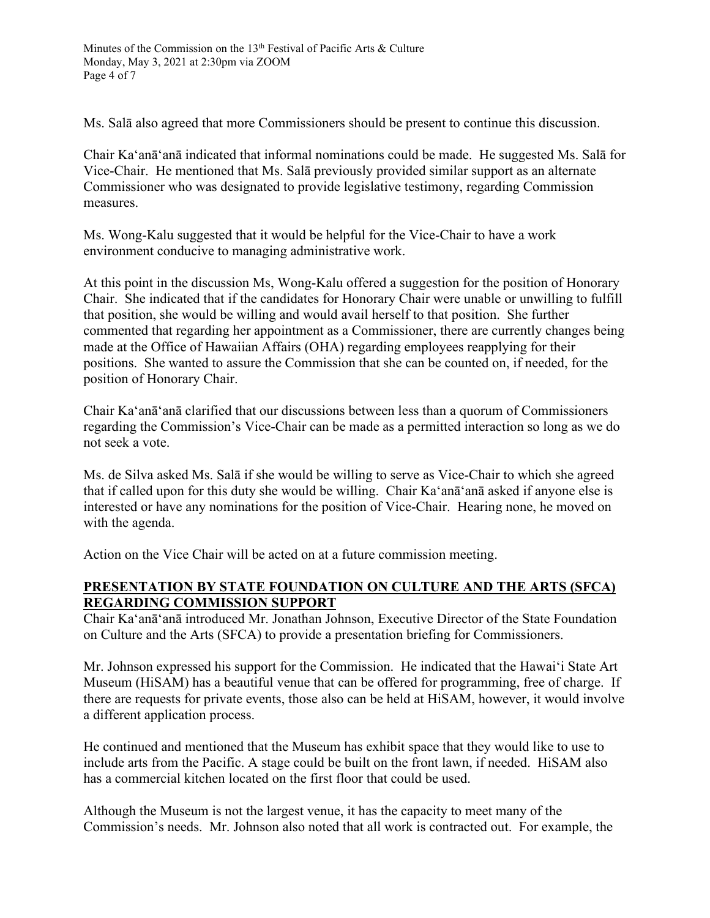Ms. Salā also agreed that more Commissioners should be present to continue this discussion.

Chair Ka'anā'anā indicated that informal nominations could be made. He suggested Ms. Salā for Vice-Chair. He mentioned that Ms. Salā previously provided similar support as an alternate Commissioner who was designated to provide legislative testimony, regarding Commission measures.

Ms. Wong-Kalu suggested that it would be helpful for the Vice-Chair to have a work environment conducive to managing administrative work.

At this point in the discussion Ms, Wong-Kalu offered a suggestion for the position of Honorary Chair. She indicated that if the candidates for Honorary Chair were unable or unwilling to fulfill that position, she would be willing and would avail herself to that position. She further commented that regarding her appointment as a Commissioner, there are currently changes being made at the Office of Hawaiian Affairs (OHA) regarding employees reapplying for their positions. She wanted to assure the Commission that she can be counted on, if needed, for the position of Honorary Chair.

Chair Ka'anā'anā clarified that our discussions between less than a quorum of Commissioners regarding the Commission's Vice-Chair can be made as a permitted interaction so long as we do not seek a vote.

Ms. de Silva asked Ms. Salā if she would be willing to serve as Vice-Chair to which she agreed that if called upon for this duty she would be willing. Chair Ka'anā'anā asked if anyone else is interested or have any nominations for the position of Vice-Chair. Hearing none, he moved on with the agenda.

Action on the Vice Chair will be acted on at a future commission meeting.

## **PRESENTATION BY STATE FOUNDATION ON CULTURE AND THE ARTS (SFCA) REGARDING COMMISSION SUPPORT**

Chair Ka'anā'anā introduced Mr. Jonathan Johnson, Executive Director of the State Foundation on Culture and the Arts (SFCA) to provide a presentation briefing for Commissioners.

Mr. Johnson expressed his support for the Commission. He indicated that the Hawaiʻi State Art Museum (HiSAM) has a beautiful venue that can be offered for programming, free of charge. If there are requests for private events, those also can be held at HiSAM, however, it would involve a different application process.

He continued and mentioned that the Museum has exhibit space that they would like to use to include arts from the Pacific. A stage could be built on the front lawn, if needed. HiSAM also has a commercial kitchen located on the first floor that could be used.

Although the Museum is not the largest venue, it has the capacity to meet many of the Commission's needs. Mr. Johnson also noted that all work is contracted out. For example, the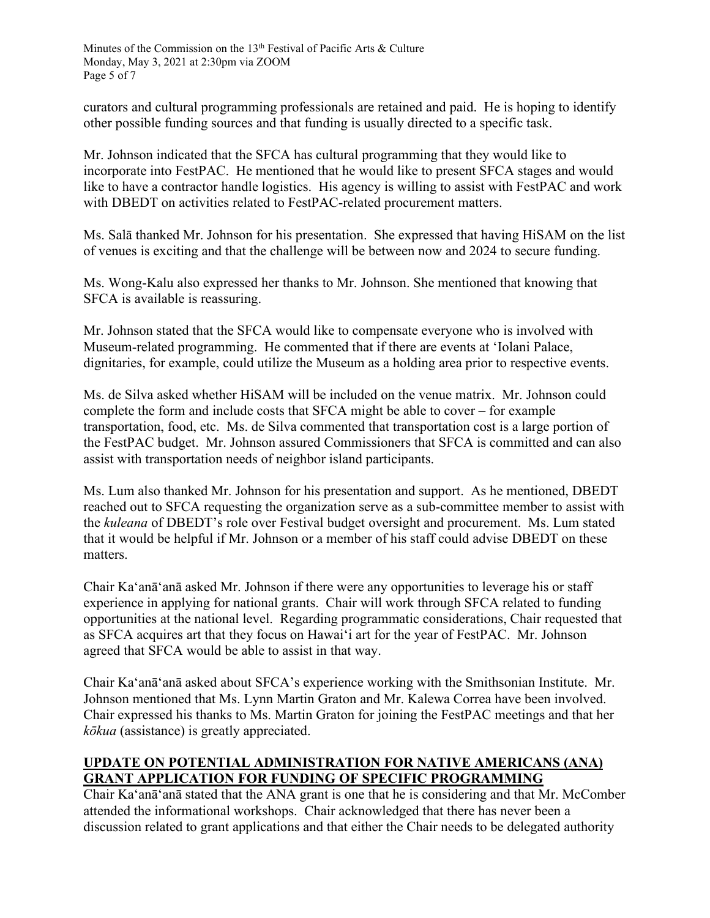curators and cultural programming professionals are retained and paid. He is hoping to identify other possible funding sources and that funding is usually directed to a specific task.

Mr. Johnson indicated that the SFCA has cultural programming that they would like to incorporate into FestPAC. He mentioned that he would like to present SFCA stages and would like to have a contractor handle logistics. His agency is willing to assist with FestPAC and work with DBEDT on activities related to FestPAC-related procurement matters.

Ms. Salā thanked Mr. Johnson for his presentation. She expressed that having HiSAM on the list of venues is exciting and that the challenge will be between now and 2024 to secure funding.

Ms. Wong-Kalu also expressed her thanks to Mr. Johnson. She mentioned that knowing that SFCA is available is reassuring.

Mr. Johnson stated that the SFCA would like to compensate everyone who is involved with Museum-related programming. He commented that if there are events at ʻIolani Palace, dignitaries, for example, could utilize the Museum as a holding area prior to respective events.

Ms. de Silva asked whether HiSAM will be included on the venue matrix. Mr. Johnson could complete the form and include costs that SFCA might be able to cover – for example transportation, food, etc. Ms. de Silva commented that transportation cost is a large portion of the FestPAC budget. Mr. Johnson assured Commissioners that SFCA is committed and can also assist with transportation needs of neighbor island participants.

Ms. Lum also thanked Mr. Johnson for his presentation and support. As he mentioned, DBEDT reached out to SFCA requesting the organization serve as a sub-committee member to assist with the *kuleana* of DBEDT's role over Festival budget oversight and procurement. Ms. Lum stated that it would be helpful if Mr. Johnson or a member of his staff could advise DBEDT on these matters.

Chair Ka'anā'anā asked Mr. Johnson if there were any opportunities to leverage his or staff experience in applying for national grants. Chair will work through SFCA related to funding opportunities at the national level. Regarding programmatic considerations, Chair requested that as SFCA acquires art that they focus on Hawaiʻi art for the year of FestPAC. Mr. Johnson agreed that SFCA would be able to assist in that way.

Chair Ka'anā'anā asked about SFCA's experience working with the Smithsonian Institute. Mr. Johnson mentioned that Ms. Lynn Martin Graton and Mr. Kalewa Correa have been involved. Chair expressed his thanks to Ms. Martin Graton for joining the FestPAC meetings and that her *kōkua* (assistance) is greatly appreciated.

## **UPDATE ON POTENTIAL ADMINISTRATION FOR NATIVE AMERICANS (ANA) GRANT APPLICATION FOR FUNDING OF SPECIFIC PROGRAMMING**

Chair Ka'anā'anā stated that the ANA grant is one that he is considering and that Mr. McComber attended the informational workshops. Chair acknowledged that there has never been a discussion related to grant applications and that either the Chair needs to be delegated authority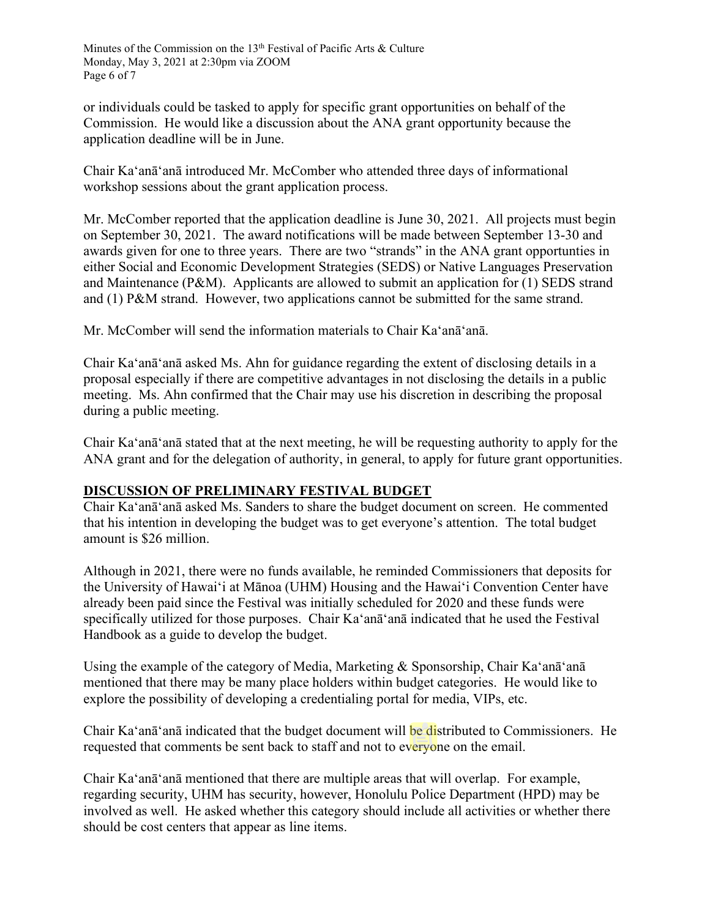or individuals could be tasked to apply for specific grant opportunities on behalf of the Commission. He would like a discussion about the ANA grant opportunity because the application deadline will be in June.

Chair Ka'anā'anā introduced Mr. McComber who attended three days of informational workshop sessions about the grant application process.

Mr. McComber reported that the application deadline is June 30, 2021. All projects must begin on September 30, 2021. The award notifications will be made between September 13-30 and awards given for one to three years. There are two "strands" in the ANA grant opportunties in either Social and Economic Development Strategies (SEDS) or Native Languages Preservation and Maintenance (P&M). Applicants are allowed to submit an application for (1) SEDS strand and (1) P&M strand. However, two applications cannot be submitted for the same strand.

Mr. McComber will send the information materials to Chair Ka'anā'anā.

Chair Ka'anā'anā asked Ms. Ahn for guidance regarding the extent of disclosing details in a proposal especially if there are competitive advantages in not disclosing the details in a public meeting. Ms. Ahn confirmed that the Chair may use his discretion in describing the proposal during a public meeting.

Chair Ka'anā'anā stated that at the next meeting, he will be requesting authority to apply for the ANA grant and for the delegation of authority, in general, to apply for future grant opportunities.

## **DISCUSSION OF PRELIMINARY FESTIVAL BUDGET**

Chair Ka'anā'anā asked Ms. Sanders to share the budget document on screen. He commented that his intention in developing the budget was to get everyone's attention. The total budget amount is \$26 million.

Although in 2021, there were no funds available, he reminded Commissioners that deposits for the University of Hawaiʻi at Mānoa (UHM) Housing and the Hawaiʻi Convention Center have already been paid since the Festival was initially scheduled for 2020 and these funds were specifically utilized for those purposes. Chair Ka'anā'anā indicated that he used the Festival Handbook as a guide to develop the budget.

Using the example of the category of Media, Marketing & Sponsorship, Chair Ka'anā'anā mentioned that there may be many place holders within budget categories. He would like to explore the possibility of developing a credentialing portal for media, VIPs, etc.

Chair Ka'anā'anā indicated that the budget document will be distributed to Commissioners. He requested that comments be sent back to staff and not to everyone on the email.

Chair Ka'anā'anā mentioned that there are multiple areas that will overlap. For example, regarding security, UHM has security, however, Honolulu Police Department (HPD) may be involved as well. He asked whether this category should include all activities or whether there should be cost centers that appear as line items.